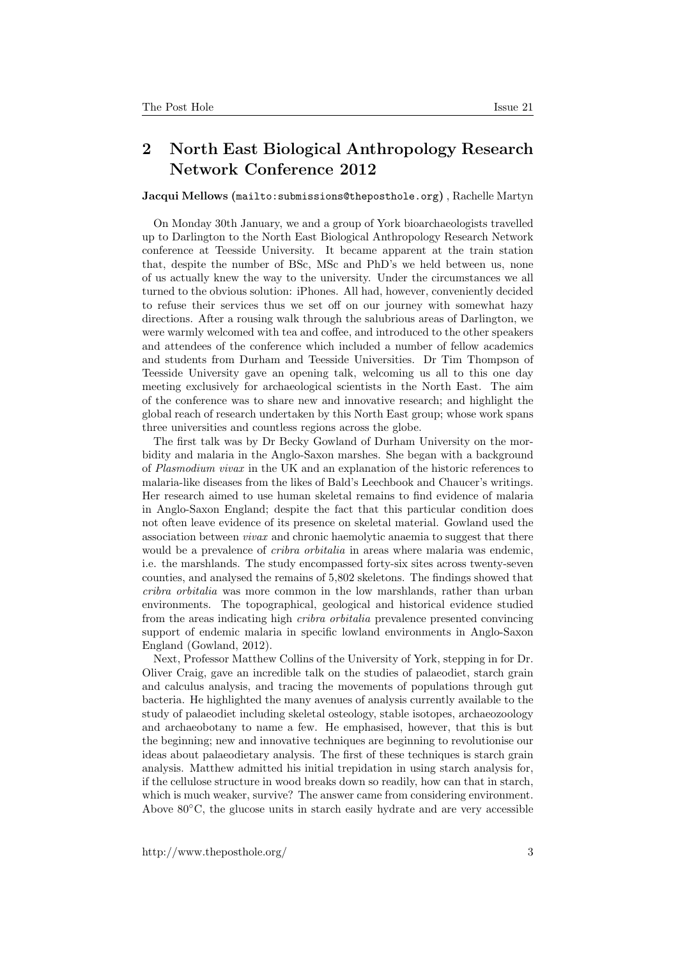## 2 North East Biological Anthropology Research Network Conference 2012

Jacqui Mellows (mailto: submissions@theposthole.org), Rachelle Martyn

On Monday 30th January, we and a group of York bioarchaeologists travelled up to Darlington to the North East Biological Anthropology Research Network conference at Teesside University. It became apparent at the train station that, despite the number of BSc, MSc and PhD's we held between us, none of us actually knew the way to the university. Under the circumstances we all turned to the obvious solution: iPhones. All had, however, conveniently decided to refuse their services thus we set off on our journey with somewhat hazy directions. After a rousing walk through the salubrious areas of Darlington, we were warmly welcomed with tea and coffee, and introduced to the other speakers and attendees of the conference which included a number of fellow academics and students from Durham and Teesside Universities. Dr Tim Thompson of Teesside University gave an opening talk, welcoming us all to this one day meeting exclusively for archaeological scientists in the North East. The aim of the conference was to share new and innovative research; and highlight the global reach of research undertaken by this North East group; whose work spans three universities and countless regions across the globe.

The first talk was by Dr Becky Gowland of Durham University on the morbidity and malaria in the Anglo-Saxon marshes. She began with a background of Plasmodium vivax in the UK and an explanation of the historic references to malaria-like diseases from the likes of Bald's Leechbook and Chaucer's writings. Her research aimed to use human skeletal remains to find evidence of malaria in Anglo-Saxon England; despite the fact that this particular condition does not often leave evidence of its presence on skeletal material. Gowland used the association between vivax and chronic haemolytic anaemia to suggest that there would be a prevalence of *cribra orbitalia* in areas where malaria was endemic, i.e. the marshlands. The study encompassed forty-six sites across twenty-seven counties, and analysed the remains of 5,802 skeletons. The findings showed that cribra orbitalia was more common in the low marshlands, rather than urban environments. The topographical, geological and historical evidence studied from the areas indicating high cribra orbitalia prevalence presented convincing support of endemic malaria in specific lowland environments in Anglo-Saxon England (Gowland, 2012).

Next, Professor Matthew Collins of the University of York, stepping in for Dr. Oliver Craig, gave an incredible talk on the studies of palaeodiet, starch grain and calculus analysis, and tracing the movements of populations through gut bacteria. He highlighted the many avenues of analysis currently available to the study of palaeodiet including skeletal osteology, stable isotopes, archaeozoology and archaeobotany to name a few. He emphasised, however, that this is but the beginning; new and innovative techniques are beginning to revolutionise our ideas about palaeodietary analysis. The first of these techniques is starch grain analysis. Matthew admitted his initial trepidation in using starch analysis for, if the cellulose structure in wood breaks down so readily, how can that in starch, which is much weaker, survive? The answer came from considering environment. Above 80◦C, the glucose units in starch easily hydrate and are very accessible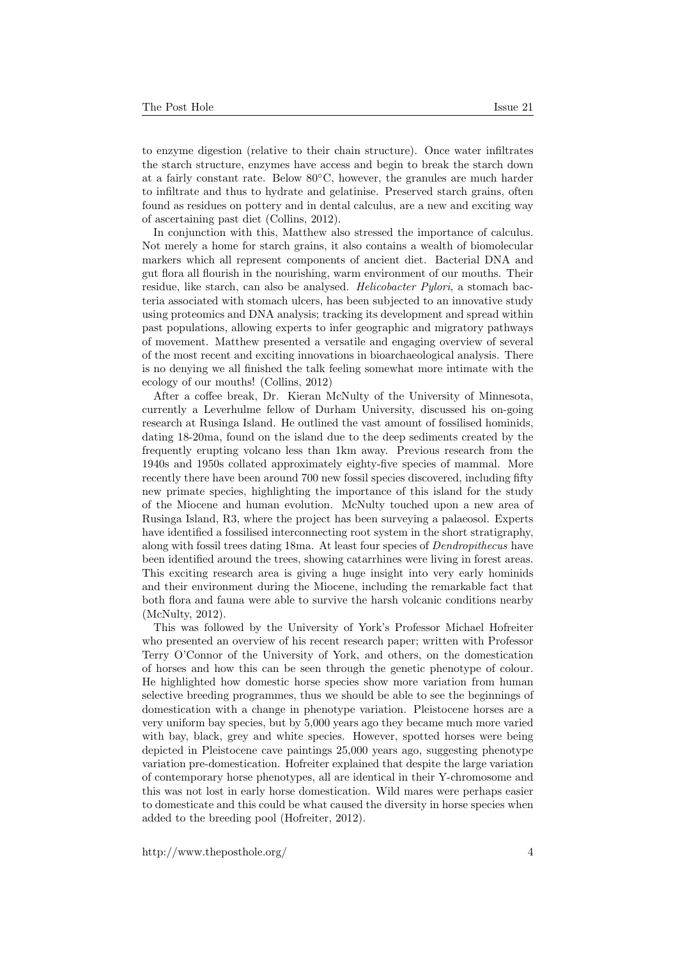to enzyme digestion (relative to their chain structure). Once water infiltrates the starch structure, enzymes have access and begin to break the starch down at a fairly constant rate. Below 80◦C, however, the granules are much harder to infiltrate and thus to hydrate and gelatinise. Preserved starch grains, often found as residues on pottery and in dental calculus, are a new and exciting way of ascertaining past diet (Collins, 2012).

In conjunction with this, Matthew also stressed the importance of calculus. Not merely a home for starch grains, it also contains a wealth of biomolecular markers which all represent components of ancient diet. Bacterial DNA and gut flora all flourish in the nourishing, warm environment of our mouths. Their residue, like starch, can also be analysed. *Helicobacter Pylori*, a stomach bacteria associated with stomach ulcers, has been subjected to an innovative study using proteomics and DNA analysis; tracking its development and spread within past populations, allowing experts to infer geographic and migratory pathways of movement. Matthew presented a versatile and engaging overview of several of the most recent and exciting innovations in bioarchaeological analysis. There is no denying we all finished the talk feeling somewhat more intimate with the ecology of our mouths! (Collins, 2012)

After a coffee break, Dr. Kieran McNulty of the University of Minnesota, currently a Leverhulme fellow of Durham University, discussed his on-going research at Rusinga Island. He outlined the vast amount of fossilised hominids, dating 18-20ma, found on the island due to the deep sediments created by the frequently erupting volcano less than 1km away. Previous research from the 1940s and 1950s collated approximately eighty-five species of mammal. More recently there have been around 700 new fossil species discovered, including fifty new primate species, highlighting the importance of this island for the study of the Miocene and human evolution. McNulty touched upon a new area of Rusinga Island, R3, where the project has been surveying a palaeosol. Experts have identified a fossilised interconnecting root system in the short stratigraphy, along with fossil trees dating 18ma. At least four species of *Dendropithecus* have been identified around the trees, showing catarrhines were living in forest areas. This exciting research area is giving a huge insight into very early hominids and their environment during the Miocene, including the remarkable fact that both flora and fauna were able to survive the harsh volcanic conditions nearby (McNulty, 2012).

This was followed by the University of York's Professor Michael Hofreiter who presented an overview of his recent research paper; written with Professor Terry O'Connor of the University of York, and others, on the domestication of horses and how this can be seen through the genetic phenotype of colour. He highlighted how domestic horse species show more variation from human selective breeding programmes, thus we should be able to see the beginnings of domestication with a change in phenotype variation. Pleistocene horses are a very uniform bay species, but by 5,000 years ago they became much more varied with bay, black, grey and white species. However, spotted horses were being depicted in Pleistocene cave paintings 25,000 years ago, suggesting phenotype variation pre-domestication. Hofreiter explained that despite the large variation of contemporary horse phenotypes, all are identical in their Y-chromosome and this was not lost in early horse domestication. Wild mares were perhaps easier to domesticate and this could be what caused the diversity in horse species when added to the breeding pool (Hofreiter, 2012).

http://www.theposthole.org/ 4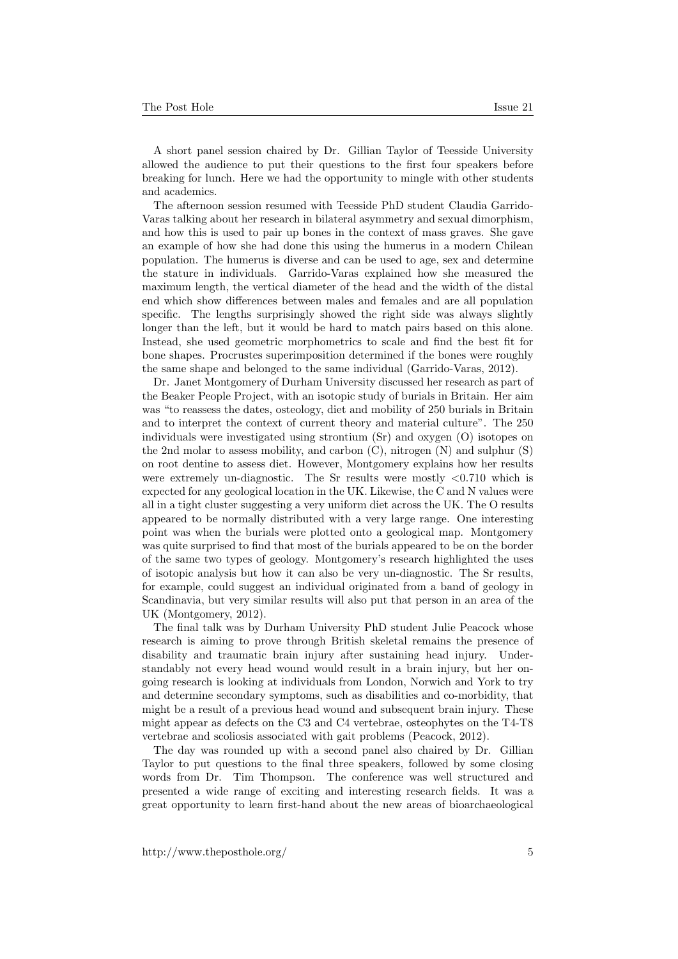A short panel session chaired by Dr. Gillian Taylor of Teesside University allowed the audience to put their questions to the first four speakers before breaking for lunch. Here we had the opportunity to mingle with other students and academics.

The afternoon session resumed with Teesside PhD student Claudia Garrido-Varas talking about her research in bilateral asymmetry and sexual dimorphism, and how this is used to pair up bones in the context of mass graves. She gave an example of how she had done this using the humerus in a modern Chilean population. The humerus is diverse and can be used to age, sex and determine the stature in individuals. Garrido-Varas explained how she measured the maximum length, the vertical diameter of the head and the width of the distal end which show differences between males and females and are all population specific. The lengths surprisingly showed the right side was always slightly longer than the left, but it would be hard to match pairs based on this alone. Instead, she used geometric morphometrics to scale and find the best fit for bone shapes. Procrustes superimposition determined if the bones were roughly the same shape and belonged to the same individual (Garrido-Varas, 2012).

Dr. Janet Montgomery of Durham University discussed her research as part of the Beaker People Project, with an isotopic study of burials in Britain. Her aim was "to reassess the dates, osteology, diet and mobility of 250 burials in Britain and to interpret the context of current theory and material culture". The 250 individuals were investigated using strontium (Sr) and oxygen (O) isotopes on the 2nd molar to assess mobility, and carbon  $(C)$ , nitrogen  $(N)$  and sulphur  $(S)$ on root dentine to assess diet. However, Montgomery explains how her results were extremely un-diagnostic. The Sr results were mostly  $\langle 0.710 \text{ which is}$ expected for any geological location in the UK. Likewise, the C and N values were all in a tight cluster suggesting a very uniform diet across the UK. The O results appeared to be normally distributed with a very large range. One interesting point was when the burials were plotted onto a geological map. Montgomery was quite surprised to find that most of the burials appeared to be on the border of the same two types of geology. Montgomery's research highlighted the uses of isotopic analysis but how it can also be very un-diagnostic. The Sr results, for example, could suggest an individual originated from a band of geology in Scandinavia, but very similar results will also put that person in an area of the UK (Montgomery, 2012).

The final talk was by Durham University PhD student Julie Peacock whose research is aiming to prove through British skeletal remains the presence of disability and traumatic brain injury after sustaining head injury. Understandably not every head wound would result in a brain injury, but her ongoing research is looking at individuals from London, Norwich and York to try and determine secondary symptoms, such as disabilities and co-morbidity, that might be a result of a previous head wound and subsequent brain injury. These might appear as defects on the C3 and C4 vertebrae, osteophytes on the T4-T8 vertebrae and scoliosis associated with gait problems (Peacock, 2012).

The day was rounded up with a second panel also chaired by Dr. Gillian Taylor to put questions to the final three speakers, followed by some closing words from Dr. Tim Thompson. The conference was well structured and presented a wide range of exciting and interesting research fields. It was a great opportunity to learn first-hand about the new areas of bioarchaeological